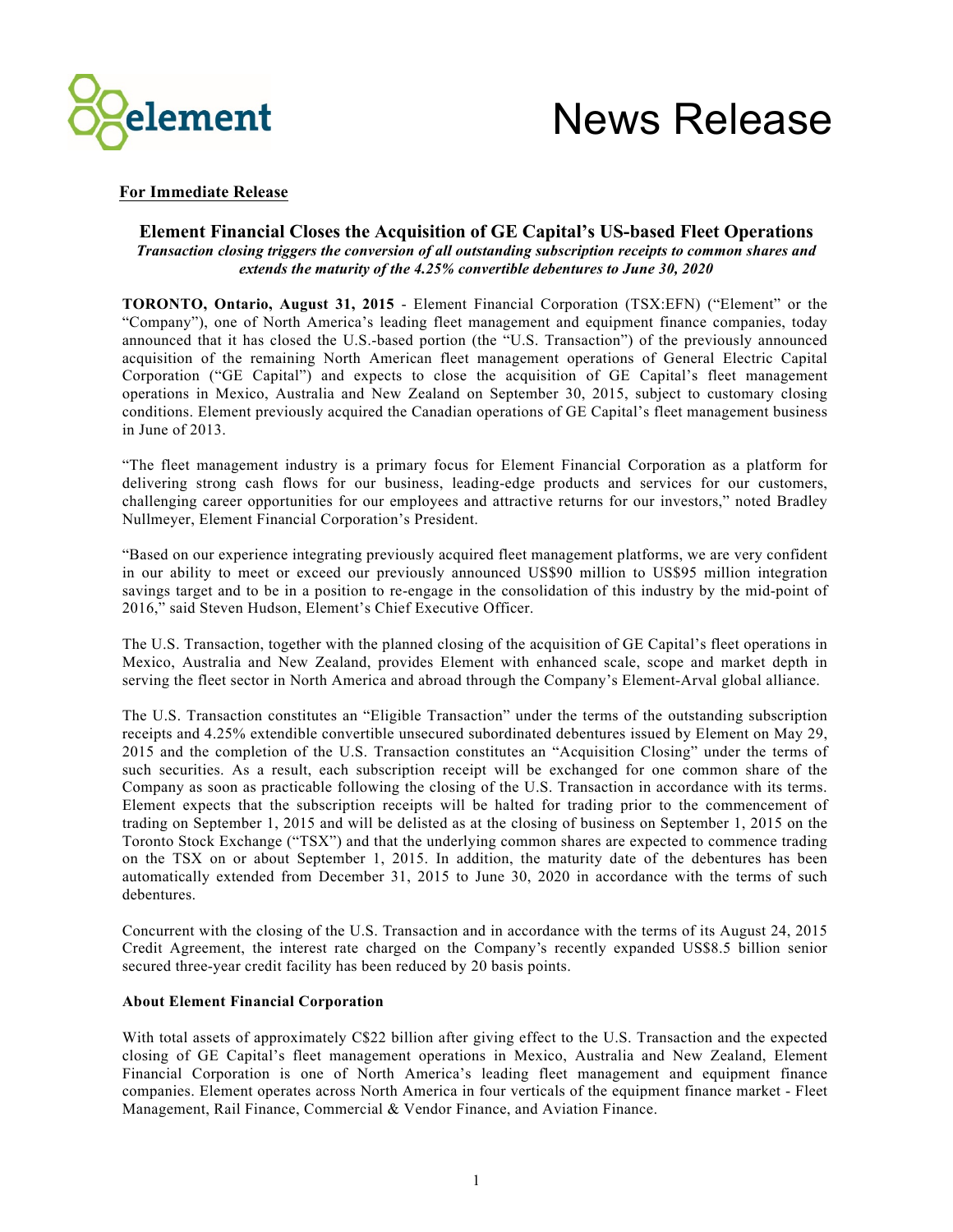

# News Release

## **For Immediate Release**

### **Element Financial Closes the Acquisition of GE Capital's US-based Fleet Operations** *Transaction closing triggers the conversion of all outstanding subscription receipts to common shares and extends the maturity of the 4.25% convertible debentures to June 30, 2020*

**TORONTO, Ontario, August 31, 2015** - Element Financial Corporation (TSX:EFN) ("Element" or the "Company"), one of North America's leading fleet management and equipment finance companies, today announced that it has closed the U.S.-based portion (the "U.S. Transaction") of the previously announced acquisition of the remaining North American fleet management operations of General Electric Capital Corporation ("GE Capital") and expects to close the acquisition of GE Capital's fleet management operations in Mexico, Australia and New Zealand on September 30, 2015, subject to customary closing conditions. Element previously acquired the Canadian operations of GE Capital's fleet management business in June of 2013.

"The fleet management industry is a primary focus for Element Financial Corporation as a platform for delivering strong cash flows for our business, leading-edge products and services for our customers, challenging career opportunities for our employees and attractive returns for our investors," noted Bradley Nullmeyer, Element Financial Corporation's President.

"Based on our experience integrating previously acquired fleet management platforms, we are very confident in our ability to meet or exceed our previously announced US\$90 million to US\$95 million integration savings target and to be in a position to re-engage in the consolidation of this industry by the mid-point of 2016," said Steven Hudson, Element's Chief Executive Officer.

The U.S. Transaction, together with the planned closing of the acquisition of GE Capital's fleet operations in Mexico, Australia and New Zealand, provides Element with enhanced scale, scope and market depth in serving the fleet sector in North America and abroad through the Company's Element-Arval global alliance.

The U.S. Transaction constitutes an "Eligible Transaction" under the terms of the outstanding subscription receipts and 4.25% extendible convertible unsecured subordinated debentures issued by Element on May 29, 2015 and the completion of the U.S. Transaction constitutes an "Acquisition Closing" under the terms of such securities. As a result, each subscription receipt will be exchanged for one common share of the Company as soon as practicable following the closing of the U.S. Transaction in accordance with its terms. Element expects that the subscription receipts will be halted for trading prior to the commencement of trading on September 1, 2015 and will be delisted as at the closing of business on September 1, 2015 on the Toronto Stock Exchange ("TSX") and that the underlying common shares are expected to commence trading on the TSX on or about September 1, 2015. In addition, the maturity date of the debentures has been automatically extended from December 31, 2015 to June 30, 2020 in accordance with the terms of such debentures.

Concurrent with the closing of the U.S. Transaction and in accordance with the terms of its August 24, 2015 Credit Agreement, the interest rate charged on the Company's recently expanded US\$8.5 billion senior secured three-year credit facility has been reduced by 20 basis points.

### **About Element Financial Corporation**

With total assets of approximately C\$22 billion after giving effect to the U.S. Transaction and the expected closing of GE Capital's fleet management operations in Mexico, Australia and New Zealand, Element Financial Corporation is one of North America's leading fleet management and equipment finance companies. Element operates across North America in four verticals of the equipment finance market - Fleet Management, Rail Finance, Commercial & Vendor Finance, and Aviation Finance.